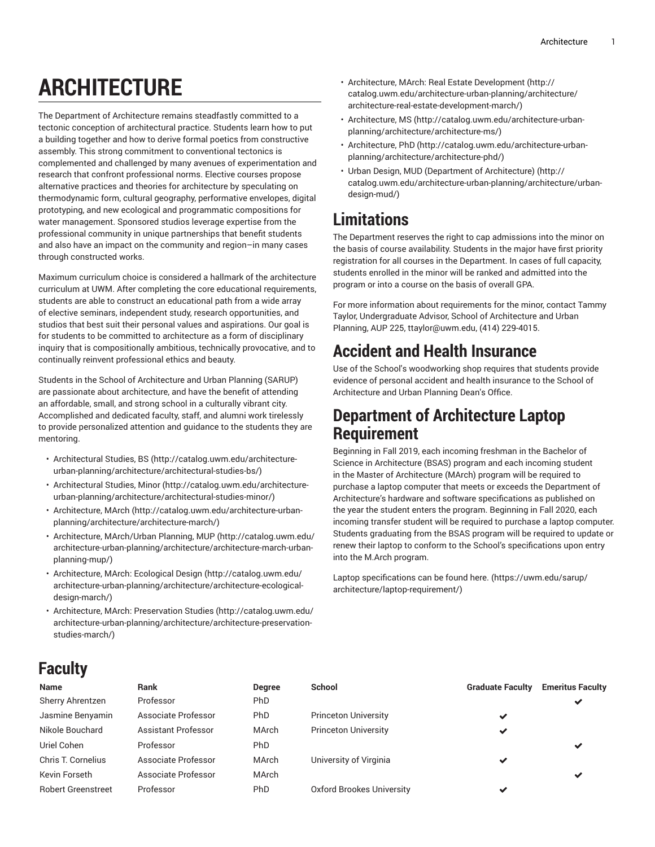# **ARCHITECTURE**

The Department of Architecture remains steadfastly committed to a tectonic conception of architectural practice. Students learn how to put a building together and how to derive formal poetics from constructive assembly. This strong commitment to conventional tectonics is complemented and challenged by many avenues of experimentation and research that confront professional norms. Elective courses propose alternative practices and theories for architecture by speculating on thermodynamic form, cultural geography, performative envelopes, digital prototyping, and new ecological and programmatic compositions for water management. Sponsored studios leverage expertise from the professional community in unique partnerships that benefit students and also have an impact on the community and region–in many cases through constructed works.

Maximum curriculum choice is considered a hallmark of the architecture curriculum at UWM. After completing the core educational requirements, students are able to construct an educational path from a wide array of elective seminars, independent study, research opportunities, and studios that best suit their personal values and aspirations. Our goal is for students to be committed to architecture as a form of disciplinary inquiry that is compositionally ambitious, technically provocative, and to continually reinvent professional ethics and beauty.

Students in the School of Architecture and Urban Planning (SARUP) are passionate about architecture, and have the benefit of attending an affordable, small, and strong school in a culturally vibrant city. Accomplished and dedicated faculty, staff, and alumni work tirelessly to provide personalized attention and guidance to the students they are mentoring.

- [Architectural](http://catalog.uwm.edu/architecture-urban-planning/architecture/architectural-studies-bs/) Studies, BS ([http://catalog.uwm.edu/architecture](http://catalog.uwm.edu/architecture-urban-planning/architecture/architectural-studies-bs/)[urban-planning/architecture/architectural-studies-bs/](http://catalog.uwm.edu/architecture-urban-planning/architecture/architectural-studies-bs/))
- [Architectural](http://catalog.uwm.edu/architecture-urban-planning/architecture/architectural-studies-minor/) Studies, Minor ([http://catalog.uwm.edu/architecture](http://catalog.uwm.edu/architecture-urban-planning/architecture/architectural-studies-minor/)[urban-planning/architecture/architectural-studies-minor/](http://catalog.uwm.edu/architecture-urban-planning/architecture/architectural-studies-minor/))
- [Architecture,](http://catalog.uwm.edu/architecture-urban-planning/architecture/architecture-march/) MArch ([http://catalog.uwm.edu/architecture-urban](http://catalog.uwm.edu/architecture-urban-planning/architecture/architecture-march/)[planning/architecture/architecture-march/\)](http://catalog.uwm.edu/architecture-urban-planning/architecture/architecture-march/)
- Architecture, [MArch/Urban](http://catalog.uwm.edu/architecture-urban-planning/architecture/architecture-march-urban-planning-mup/) Planning, MUP ([http://catalog.uwm.edu/](http://catalog.uwm.edu/architecture-urban-planning/architecture/architecture-march-urban-planning-mup/) [architecture-urban-planning/architecture/architecture-march-urban](http://catalog.uwm.edu/architecture-urban-planning/architecture/architecture-march-urban-planning-mup/)[planning-mup/\)](http://catalog.uwm.edu/architecture-urban-planning/architecture/architecture-march-urban-planning-mup/)
- [Architecture,](http://catalog.uwm.edu/architecture-urban-planning/architecture/architecture-ecological-design-march/) MArch: Ecological Design ([http://catalog.uwm.edu/](http://catalog.uwm.edu/architecture-urban-planning/architecture/architecture-ecological-design-march/) [architecture-urban-planning/architecture/architecture-ecological](http://catalog.uwm.edu/architecture-urban-planning/architecture/architecture-ecological-design-march/)[design-march/](http://catalog.uwm.edu/architecture-urban-planning/architecture/architecture-ecological-design-march/))
- [Architecture,](http://catalog.uwm.edu/architecture-urban-planning/architecture/architecture-preservation-studies-march/) MArch: Preservation Studies ([http://catalog.uwm.edu/](http://catalog.uwm.edu/architecture-urban-planning/architecture/architecture-preservation-studies-march/) [architecture-urban-planning/architecture/architecture-preservation](http://catalog.uwm.edu/architecture-urban-planning/architecture/architecture-preservation-studies-march/)[studies-march/\)](http://catalog.uwm.edu/architecture-urban-planning/architecture/architecture-preservation-studies-march/)
- Architecture, MArch: Real Estate [Development \(http://](http://catalog.uwm.edu/architecture-urban-planning/architecture/architecture-real-estate-development-march/) [catalog.uwm.edu/architecture-urban-planning/architecture/](http://catalog.uwm.edu/architecture-urban-planning/architecture/architecture-real-estate-development-march/) [architecture-real-estate-development-march/\)](http://catalog.uwm.edu/architecture-urban-planning/architecture/architecture-real-estate-development-march/)
- [Architecture,](http://catalog.uwm.edu/architecture-urban-planning/architecture/architecture-ms/) MS ([http://catalog.uwm.edu/architecture-urban](http://catalog.uwm.edu/architecture-urban-planning/architecture/architecture-ms/)[planning/architecture/architecture-ms/](http://catalog.uwm.edu/architecture-urban-planning/architecture/architecture-ms/))
- [Architecture,](http://catalog.uwm.edu/architecture-urban-planning/architecture/architecture-phd/) PhD ([http://catalog.uwm.edu/architecture-urban](http://catalog.uwm.edu/architecture-urban-planning/architecture/architecture-phd/)[planning/architecture/architecture-phd/\)](http://catalog.uwm.edu/architecture-urban-planning/architecture/architecture-phd/)
- Urban Design, MUD (Department of [Architecture\)](http://catalog.uwm.edu/architecture-urban-planning/architecture/urban-design-mud/) ([http://](http://catalog.uwm.edu/architecture-urban-planning/architecture/urban-design-mud/) [catalog.uwm.edu/architecture-urban-planning/architecture/urban](http://catalog.uwm.edu/architecture-urban-planning/architecture/urban-design-mud/)[design-mud/](http://catalog.uwm.edu/architecture-urban-planning/architecture/urban-design-mud/))

# **Limitations**

The Department reserves the right to cap admissions into the minor on the basis of course availability. Students in the major have first priority registration for all courses in the Department. In cases of full capacity, students enrolled in the minor will be ranked and admitted into the program or into a course on the basis of overall GPA.

For more information about requirements for the minor, contact Tammy Taylor, Undergraduate Advisor, School of Architecture and Urban Planning, AUP 225, [ttaylor@uwm.edu,](mailto:ttaylor@uwm.edu) (414) 229-4015.

## **Accident and Health Insurance**

Use of the School's woodworking shop requires that students provide evidence of personal accident and health insurance to the School of Architecture and Urban Planning Dean's Office.

### **Department of Architecture Laptop Requirement**

Beginning in Fall 2019, each incoming freshman in the Bachelor of Science in Architecture (BSAS) program and each incoming student in the Master of Architecture (MArch) program will be required to purchase a laptop computer that meets or exceeds the Department of Architecture's hardware and software specifications as published on the year the student enters the program. Beginning in Fall 2020, each incoming transfer student will be required to purchase a laptop computer. Students graduating from the BSAS program will be required to update or renew their laptop to conform to the School's specifications upon entry into the M.Arch program.

Laptop specifications can be found [here.](https://uwm.edu/sarup/architecture/laptop-requirement/) [\(https://uwm.edu/sarup/](https://uwm.edu/sarup/architecture/laptop-requirement/) [architecture/laptop-requirement/\)](https://uwm.edu/sarup/architecture/laptop-requirement/)

# **Faculty**

| <b>Name</b>               | <b>Rank</b>                | <b>Degree</b> | School                      | <b>Graduate Faculty</b> | <b>Emeritus Faculty</b> |
|---------------------------|----------------------------|---------------|-----------------------------|-------------------------|-------------------------|
| Sherry Ahrentzen          | Professor                  | <b>PhD</b>    |                             |                         | ✔                       |
| Jasmine Benyamin          | Associate Professor        | <b>PhD</b>    | <b>Princeton University</b> | $\checkmark$            |                         |
| Nikole Bouchard           | <b>Assistant Professor</b> | <b>MArch</b>  | <b>Princeton University</b> | ✔                       |                         |
| Uriel Cohen               | Professor                  | <b>PhD</b>    |                             |                         | ✔                       |
| Chris T. Cornelius        | Associate Professor        | MArch         | University of Virginia      | $\checkmark$            |                         |
| Kevin Forseth             | Associate Professor        | MArch         |                             |                         | ✔                       |
| <b>Robert Greenstreet</b> | Professor                  | PhD           | Oxford Brookes University   | $\checkmark$            |                         |